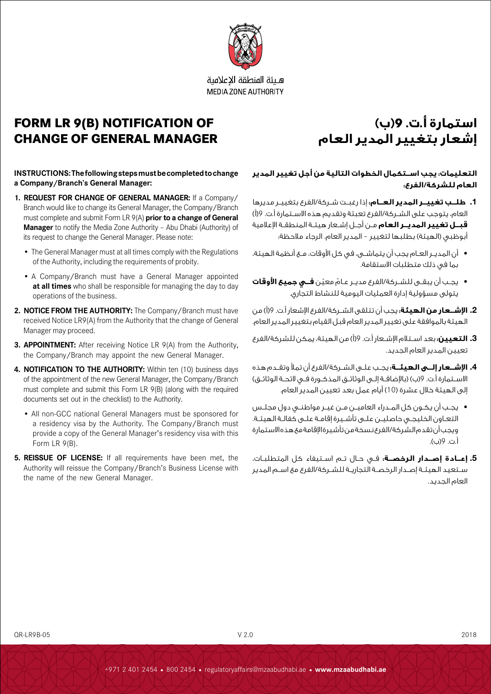

هلئة المنطقة الاعلامية **MEDIA ZONE AUTHORITY** 

# **FORM LR 9(B) NOTIFICATION OF CHANGE OF GENERAL MANAGER**

# **استمارة أ.ت. 9)ب( إشعار بتغيير المدير العام**

### **INSTRUCTIONS: The following steps must be completed to change a Company/Branch's General Manager:**

- **1. REQUEST FOR CHANGE OF GENERAL MANAGER:** If a Company/ Branch would like to change its General Manager, the Company/Branch must complete and submit Form LR 9(A) **prior to a change of General Manager** to notify the Media Zone Authority – Abu Dhabi (Authority) of its request to change the General Manager. Please note:
	- The General Manager must at all times comply with the Regulations of the Authority, including the requirements of probity.
	- A Company/Branch must have a General Manager appointed **at all times** who shall be responsible for managing the day to day operations of the business.
- **2. NOTICE FROM THE AUTHORITY:** The Company/Branch must have received Notice LR9(A) from the Authority that the change of General Manager may proceed.
- **3. APPOINTMENT:** After receiving Notice LR 9(A) from the Authority, the Company/Branch may appoint the new General Manager.
- **4. NOTIFICATION TO THE AUTHORITY:** Within ten (10) business days of the appointment of the new General Manager, the Company/Branch must complete and submit this Form LR 9(B) (along with the required documents set out in the checklist) to the Authority.
	- All non-GCC national General Managers must be sponsored for a residency visa by the Authority. The Company/Branch must provide a copy of the General Manager's residency visa with this Form LR 9(B).
- **5. REISSUE OF LICENSE:** If all requirements have been met, the Authority will reissue the Company/Branch's Business License with the name of the new General Manager.

# **التعليمات: يجب اســتكمال الخطوات التالية من أجل تغيير المدير العام للشركة/الفرع:**

- **.1 طلــب تغييــر المدير العــام:** إذا رغبــت شــركة/الفرع بتغييــر مديرها العام، يتوجب على الشــركة/الفرع تعبئة وتقديم هذه االســتمارة أ.ت. 9)أ( **قبــل تغيير المديــر العام** مــن أجــل إشــعار هيئــة المنطقــة اإلعالمية .<br>أبوظبي (الهيئة) بطلبها لتغيير – المدير العام. الرجاء ملاحظة:
- أن المديــر العــام يجب أن يتماشــى، في كل األوقات، مــع أنظمة الهيئة، بما في ذلك متطلبات االستقامة.
- ّ يجــب أن يبقــى للشــركة/الفرع مديــر عــام ّ معين **فــي جميع األوقات**  يتولى مسؤولية إدارة العمليات اليومية للنشاط التجاري.
- **.2 اإلشــعار من الهيئة:** يجب أن تتلقى الشــركة/الفرع اإلشعار أ.ت. 9)أ( من الهيئة بالموافقة على تغيير المدير العام قبل القيام بتغيير المدير العام.
- **.3 التعيين:** بعد اســتالم اإلشــعار أ.ت. 9)أ( من الهيئة، يمكن للشركة/الفرع تعيين المدير العام الجديد.
- **.4 اإلشــعار إلــى الهيئــة:** يجــب علــى الشــركة/الفرع أن تمأل وتقــدم هذه الاســتمارة أ.ت. 9(ب) (بالإضافــة إلــى الوثائــق المذكــورة فــى لائحــة الوثائــق) إلى الهيئة خلال عشرة (10) أيام عمل بعد تعيين المدير العام.
- يجــب أن يكــون كل المــدراء العاميــن مــن غيــر مواطنــي دول مجلــس التعــاون الخليجــي حاصليــن علــى تأشــيرة إقامــة علــى كفالــة الهيئــة. ويجب أن تقدم الشركة/الفرع نسخة من تأشيرة اإلقامة مع هذه االستمارة أ.ت. 9)ب(.
- **.5 إعــادة إصــدار الرخصــة:** فــي حــال تــم اســتيفاء كل المتطلبــات، ســتعيد الهيئــة إصــدار الرخصــة التجاريــة للشــركة/الفرع مع اســم المدير العام الجديد.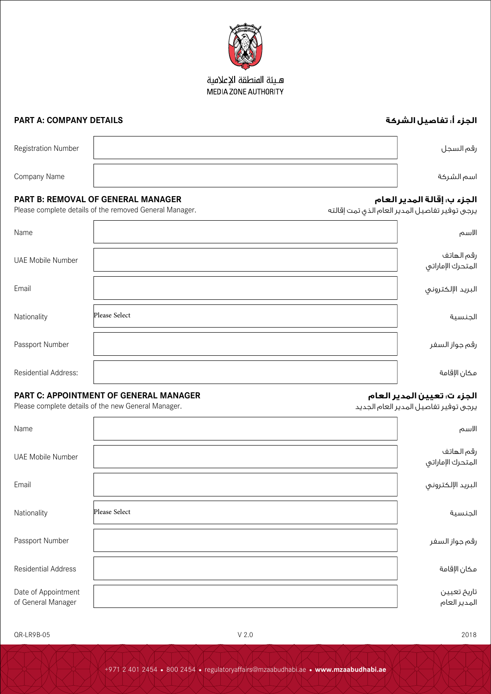# هـيئة المنطقة الإعلامية MEDIA ZONE AUTHORITY

# **الجزء أ: تفاصيل الشركة DETAILS COMPANY :A PART**

**الجزء ب: إقالة المدير العام**

**الجزء ت: تعيين المدير العام** يرجى توفير تفاصيل المدير العام الجديد

يرجى توفير تفاصيل المدير العام الذي تمت إقالته

| Registration Number | رقم السجل |
|---------------------|-----------|
| Company Name        | سم الشركة |

### **PART B: REMOVAL OF GENERAL MANAGER**

Please complete details of the removed General Manager.

| Name                     |               | الاسم                           |
|--------------------------|---------------|---------------------------------|
| <b>UAE Mobile Number</b> |               | رقم الهاتف<br>المتحرك الإماراتي |
| Email                    |               | البريد الإلكتروني               |
| Nationality              | Please Select | الجنسية                         |
| Passport Number          |               | رقم جواز السفر                  |
| Residential Address:     |               | مكان الإقامة                    |

# **PART C: APPOINTMENT OF GENERAL MANAGER**

Please complete details of the new General Manager.

| Name                                      |               | الاسم                           |
|-------------------------------------------|---------------|---------------------------------|
| UAE Mobile Number                         |               | رقم الهاتف<br>المتحرك الإماراتي |
| Email                                     |               | البريد الإلكتروني               |
| Nationality                               | Please Select | الجنسية                         |
| Passport Number                           |               | رقم جواز السفر                  |
| <b>Residential Address</b>                |               | مكان الإقامة                    |
| Date of Appointment<br>of General Manager |               | تاريخ تعيين<br>المدير العام     |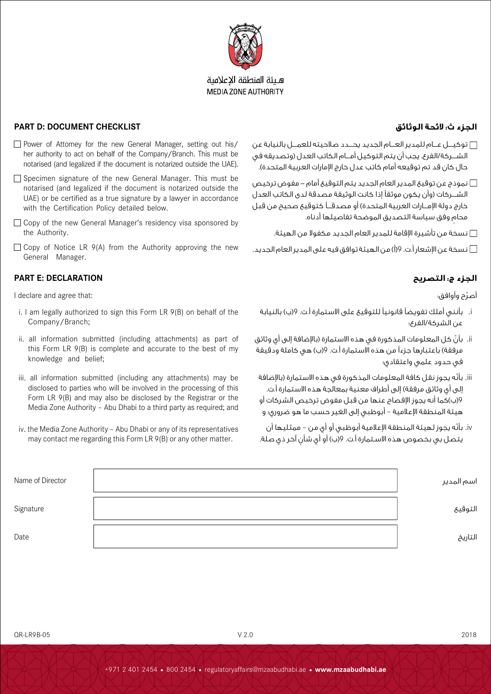

## هلئة المنطقة الاعلامية **MEDIA ZONE AUTHORITY**

## **الجزء ث: الئحة الوثائق CHECKLIST DOCUMENT :D PART**

with the Certification Policy detailed below.

- توكيــــل عــــام للمدير العــــام الجديد يحــــدد صالحيته للعمــــل بالنيابة عن الشــــركة/الفرع. يجب أن يتم التوكيل أمــــام الكاتب العدل )وتصديقه في حال كان قد تم توقيعه أمام كاتب عدل خارج الإمارات العربية المتحدة).
- نموذج عن توقيع المدير العام الجديد يتم التوقيع أمام مفوض ترخيص الشــركات (وأن يكون موثقاً إذا كانت الوثيقة مصدقة لدى الكاتب العدل خارج دولة الإمـــارات العربية المتحدة) أو مصدقـــاً كتوقيع صحيح من قبل ٍ محام وفق سياسة التصديق الموضحة تفاصيلها أدناه.
	- نسخة من تأشيرة اإلقامة للمدير العام الجديد مكفوال من الهيئة.
- نسخة عن اإلشعار أ.ت. 9)أ( من الهيئة توافق فيه على المدير العام الجديد.

### **الجزء ج: التصريح DECLARATION :E PART**

General Manager.

the Authority.

I declare and agree that:

i. I am legally authorized to sign this Form LR 9(B) on behalf of the Company/Branch;

 $\Box$  Power of Attorney for the new General Manager, setting out his/ her authority to act on behalf of the Company/Branch. This must be notarised (and legalized if the document is notarized outside the UAE).  $\Box$  Specimen signature of the new General Manager. This must be notarised (and legalized if the document is notarized outside the UAE) or be certified as a true signature by a lawyer in accordance

□ Copy of the new General Manager's residency visa sponsored by

 $\Box$  Copy of Notice LR 9(A) from the Authority approving the new

- ii. all information submitted (including attachments) as part of this Form LR 9(B) is complete and accurate to the best of my knowledge and belief;
- iii. all information submitted (including any attachments) may be disclosed to parties who will be involved in the processing of this Form LR 9(B) and may also be disclosed by the Registrar or the Media Zone Authority – Abu Dhabi to a third party as required; and
- iv. the Media Zone Authority Abu Dhabi or any of its representatives may contact me regarding this Form LR 9(B) or any other matter.

ّ أصرح وأوافق:

- i. بأنني أملك تفويضًا قانونيًا للتوقيع على االستمارة أ.ت. 9)ب( بالنيابة عن الشركة/الفرع؛
- ii. بأنّ كل المعلومات المذكورة في هذه الاستمارة (بالإضافة إلى أي وثائق مرفقة) باعتبارها جزءاً من هذه الاستمارة أ.ت. 9(ب) هي كاملة ودقيقة في حدود علمي واعتقادي؛
- iii. بأنّه يجوز نقل كافة المعلومات المذكورة في هذه الاستمارة (بالإضافة إلى أي وثائق مرفقة) إلى أطراف معنية بمعالجة هذه الاستمارة أ.ت. 9)ب(كما أنه يجوز اإلفصاح عنها من قبل مفوض ترخيص الشركات أو هيئة المنطقة اإلعالمية – أبوظبي إلى الغير حسب ما هو ضروري؛ و
- iv. بأنّه يجوز لهيئة المنطقة الإعلامية أبوظبي أو أي من ممثليها أن يتصل بي بخصوص هذه الاسـتمارة أ.ت. 9(ب) أو أي شأن آخر ذي صلة.

| Name of Director | اسم المدير |
|------------------|------------|
| Signature        | التوقيع    |
| Date             | التاريخ    |